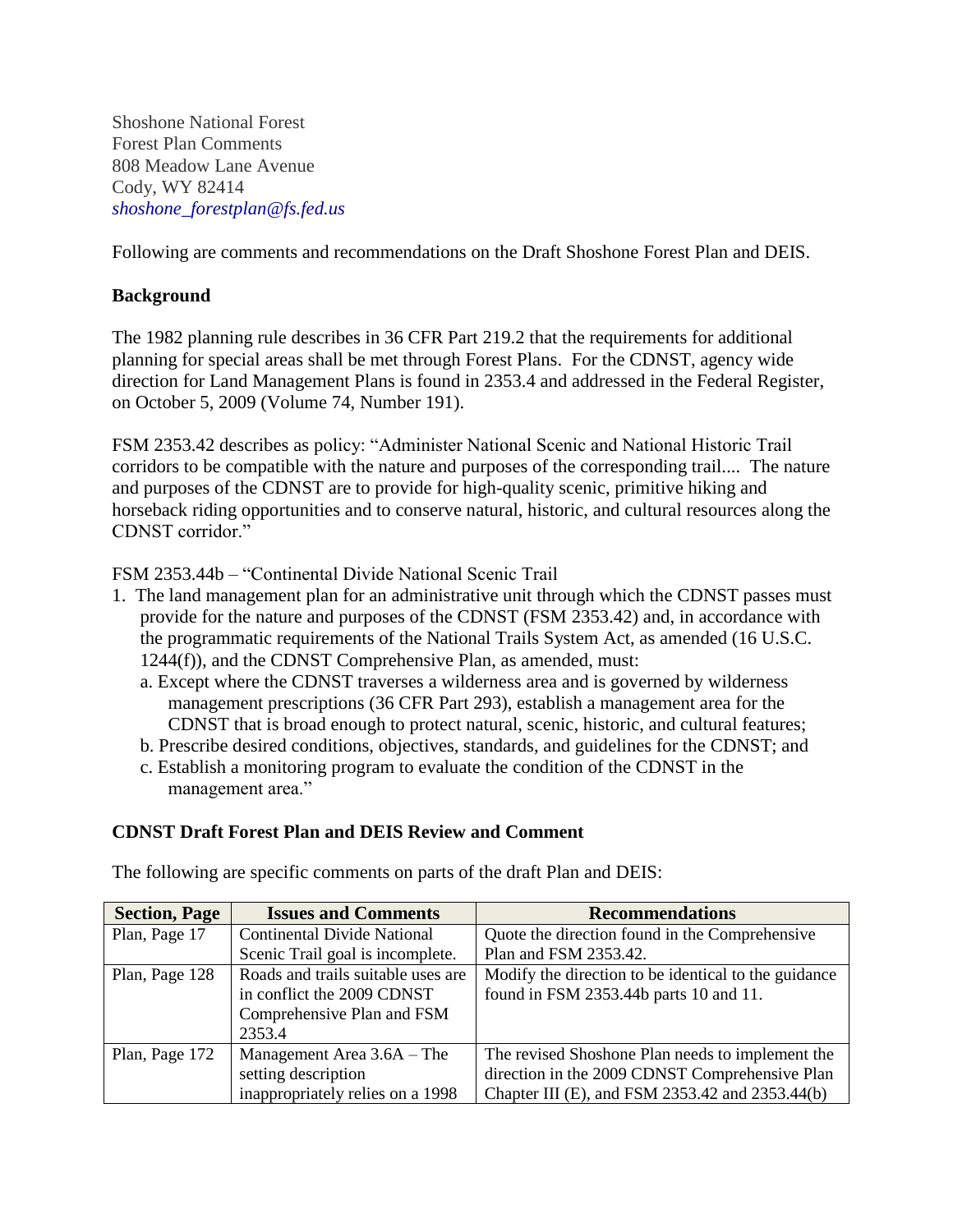Shoshone National Forest Forest Plan Comments 808 Meadow Lane Avenue Cody, WY 82414 *[shoshone\\_forestplan@fs.fed.us](mailto:shoshone_forestplan@fs.fed.us)*

Following are comments and recommendations on the Draft Shoshone Forest Plan and DEIS.

# **Background**

The 1982 planning rule describes in 36 CFR Part 219.2 that the requirements for additional planning for special areas shall be met through Forest Plans. For the CDNST, agency wide direction for Land Management Plans is found in 2353.4 and addressed in the Federal Register, on October 5, 2009 (Volume 74, Number 191).

FSM 2353.42 describes as policy: "Administer National Scenic and National Historic Trail corridors to be compatible with the nature and purposes of the corresponding trail.... The nature and purposes of the CDNST are to provide for high-quality scenic, primitive hiking and horseback riding opportunities and to conserve natural, historic, and cultural resources along the CDNST corridor."

FSM 2353.44b – "Continental Divide National Scenic Trail

- 1. The land management plan for an administrative unit through which the CDNST passes must provide for the nature and purposes of the CDNST (FSM 2353.42) and, in accordance with the programmatic requirements of the National Trails System Act, as amended (16 U.S.C. 1244(f)), and the CDNST Comprehensive Plan, as amended, must:
	- a. Except where the CDNST traverses a wilderness area and is governed by wilderness management prescriptions (36 CFR Part 293), establish a management area for the CDNST that is broad enough to protect natural, scenic, historic, and cultural features;
	- b. Prescribe desired conditions, objectives, standards, and guidelines for the CDNST; and
	- c. Establish a monitoring program to evaluate the condition of the CDNST in the management area."

# **CDNST Draft Forest Plan and DEIS Review and Comment**

| <b>Section, Page</b> | <b>Issues and Comments</b>         | <b>Recommendations</b>                               |
|----------------------|------------------------------------|------------------------------------------------------|
| Plan, Page 17        | <b>Continental Divide National</b> | Quote the direction found in the Comprehensive       |
|                      | Scenic Trail goal is incomplete.   | Plan and FSM 2353.42.                                |
| Plan, Page 128       | Roads and trails suitable uses are | Modify the direction to be identical to the guidance |
|                      | in conflict the 2009 CDNST         | found in FSM 2353.44b parts 10 and 11.               |
|                      | Comprehensive Plan and FSM         |                                                      |
|                      | 2353.4                             |                                                      |
| Plan, Page 172       | Management Area 3.6A – The         | The revised Shoshone Plan needs to implement the     |
|                      | setting description                | direction in the 2009 CDNST Comprehensive Plan       |
|                      | inappropriately relies on a 1998   | Chapter III (E), and FSM 2353.42 and 2353.44(b)      |

The following are specific comments on parts of the draft Plan and DEIS: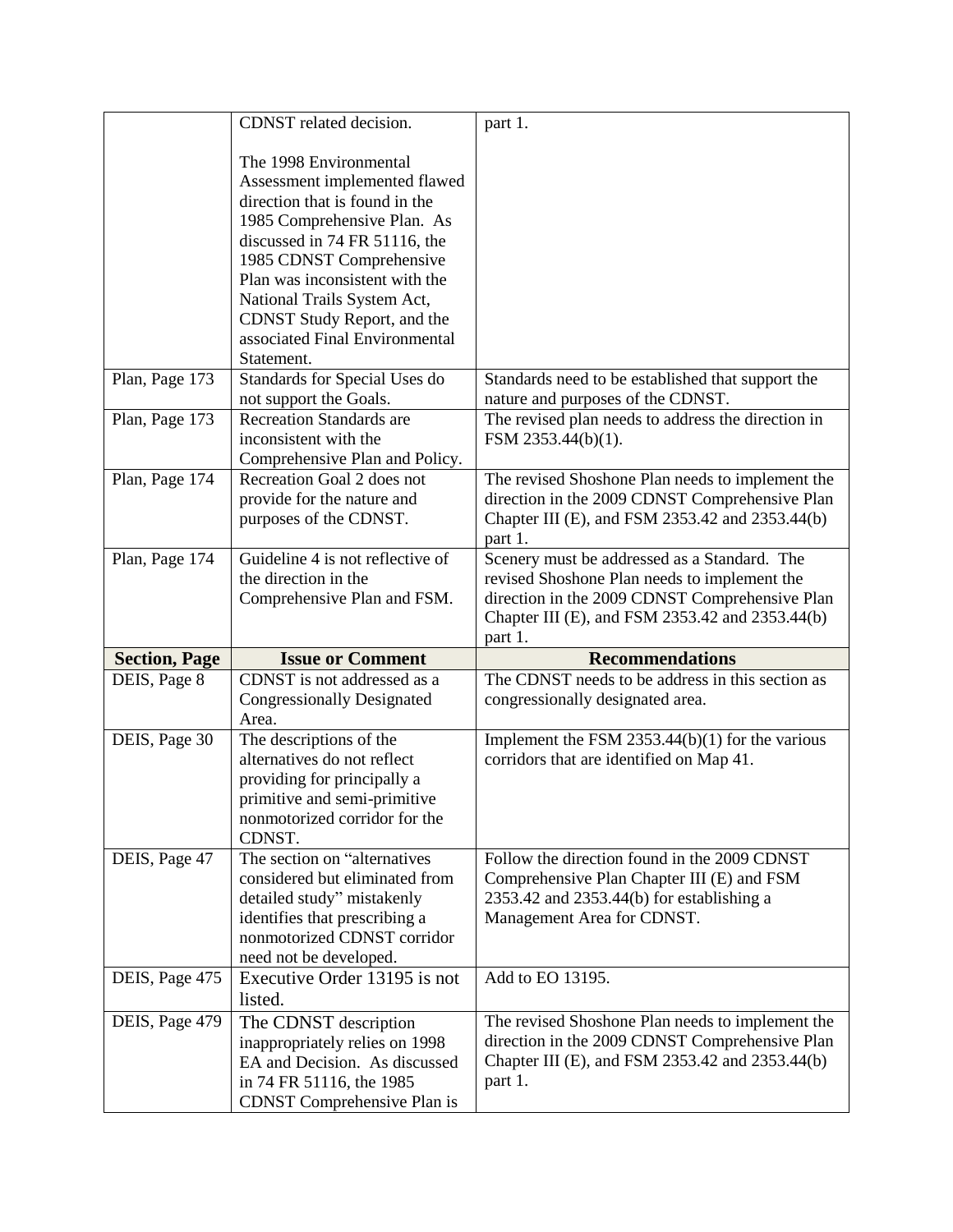|                      | CDNST related decision.                                                                                                                                                                                                                                                                                                               | part 1.                                                                                                                                                                                           |
|----------------------|---------------------------------------------------------------------------------------------------------------------------------------------------------------------------------------------------------------------------------------------------------------------------------------------------------------------------------------|---------------------------------------------------------------------------------------------------------------------------------------------------------------------------------------------------|
|                      | The 1998 Environmental<br>Assessment implemented flawed<br>direction that is found in the<br>1985 Comprehensive Plan. As<br>discussed in 74 FR 51116, the<br>1985 CDNST Comprehensive<br>Plan was inconsistent with the<br>National Trails System Act,<br>CDNST Study Report, and the<br>associated Final Environmental<br>Statement. |                                                                                                                                                                                                   |
| Plan, Page 173       | Standards for Special Uses do<br>not support the Goals.                                                                                                                                                                                                                                                                               | Standards need to be established that support the<br>nature and purposes of the CDNST.                                                                                                            |
| Plan, Page 173       | <b>Recreation Standards are</b><br>inconsistent with the<br>Comprehensive Plan and Policy.                                                                                                                                                                                                                                            | The revised plan needs to address the direction in<br>FSM 2353.44(b)(1).                                                                                                                          |
| Plan, Page 174       | Recreation Goal 2 does not<br>provide for the nature and<br>purposes of the CDNST.                                                                                                                                                                                                                                                    | The revised Shoshone Plan needs to implement the<br>direction in the 2009 CDNST Comprehensive Plan<br>Chapter III (E), and FSM 2353.42 and 2353.44(b)<br>part 1.                                  |
| Plan, Page 174       | Guideline 4 is not reflective of<br>the direction in the<br>Comprehensive Plan and FSM.                                                                                                                                                                                                                                               | Scenery must be addressed as a Standard. The<br>revised Shoshone Plan needs to implement the<br>direction in the 2009 CDNST Comprehensive Plan<br>Chapter III (E), and FSM 2353.42 and 2353.44(b) |
|                      |                                                                                                                                                                                                                                                                                                                                       | part 1.                                                                                                                                                                                           |
| <b>Section, Page</b> | <b>Issue or Comment</b>                                                                                                                                                                                                                                                                                                               | <b>Recommendations</b>                                                                                                                                                                            |
| DEIS, Page 8         | CDNST is not addressed as a<br><b>Congressionally Designated</b><br>Area.                                                                                                                                                                                                                                                             | The CDNST needs to be address in this section as<br>congressionally designated area.                                                                                                              |
| DEIS, Page 30        | The descriptions of the<br>alternatives do not reflect<br>providing for principally a<br>primitive and semi-primitive<br>nonmotorized corridor for the<br>CDNST.                                                                                                                                                                      | Implement the FSM 2353.44(b)(1) for the various<br>corridors that are identified on Map 41.                                                                                                       |
| DEIS, Page 47        | The section on "alternatives<br>considered but eliminated from<br>detailed study" mistakenly<br>identifies that prescribing a<br>nonmotorized CDNST corridor<br>need not be developed.                                                                                                                                                | Follow the direction found in the 2009 CDNST<br>Comprehensive Plan Chapter III (E) and FSM<br>$2353.42$ and $2353.44(b)$ for establishing a<br>Management Area for CDNST.                         |
| DEIS, Page 475       | Executive Order 13195 is not<br>listed.                                                                                                                                                                                                                                                                                               | Add to EO 13195.                                                                                                                                                                                  |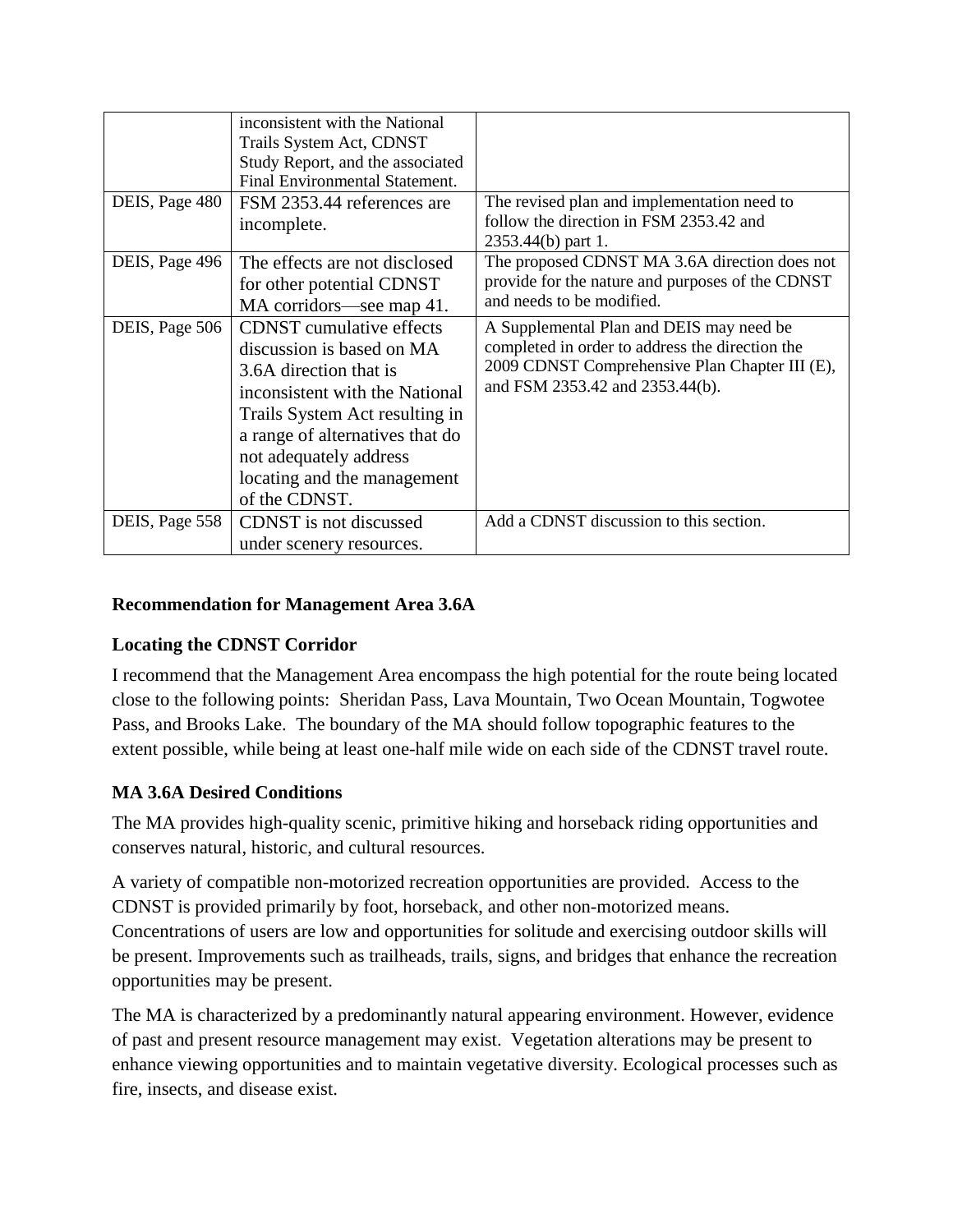|                | inconsistent with the National<br>Trails System Act, CDNST<br>Study Report, and the associated<br>Final Environmental Statement.                                                                                                                                        |                                                                                                                                                                                  |
|----------------|-------------------------------------------------------------------------------------------------------------------------------------------------------------------------------------------------------------------------------------------------------------------------|----------------------------------------------------------------------------------------------------------------------------------------------------------------------------------|
| DEIS, Page 480 | FSM 2353.44 references are                                                                                                                                                                                                                                              | The revised plan and implementation need to<br>follow the direction in FSM 2353.42 and                                                                                           |
|                | incomplete.                                                                                                                                                                                                                                                             | 2353.44(b) part 1.                                                                                                                                                               |
| DEIS, Page 496 | The effects are not disclosed<br>for other potential CDNST<br>MA corridors—see map 41.                                                                                                                                                                                  | The proposed CDNST MA 3.6A direction does not<br>provide for the nature and purposes of the CDNST<br>and needs to be modified.                                                   |
| DEIS, Page 506 | <b>CDNST</b> cumulative effects<br>discussion is based on MA<br>3.6A direction that is<br>inconsistent with the National<br>Trails System Act resulting in<br>a range of alternatives that do<br>not adequately address<br>locating and the management<br>of the CDNST. | A Supplemental Plan and DEIS may need be<br>completed in order to address the direction the<br>2009 CDNST Comprehensive Plan Chapter III (E),<br>and FSM 2353.42 and 2353.44(b). |
| DEIS, Page 558 | CDNST is not discussed                                                                                                                                                                                                                                                  | Add a CDNST discussion to this section.                                                                                                                                          |
|                | under scenery resources.                                                                                                                                                                                                                                                |                                                                                                                                                                                  |

## **Recommendation for Management Area 3.6A**

## **Locating the CDNST Corridor**

I recommend that the Management Area encompass the high potential for the route being located close to the following points: Sheridan Pass, Lava Mountain, Two Ocean Mountain, Togwotee Pass, and Brooks Lake. The boundary of the MA should follow topographic features to the extent possible, while being at least one-half mile wide on each side of the CDNST travel route.

## **MA 3.6A Desired Conditions**

The MA provides high-quality scenic, primitive hiking and horseback riding opportunities and conserves natural, historic, and cultural resources.

A variety of compatible non-motorized recreation opportunities are provided. Access to the CDNST is provided primarily by foot, horseback, and other non-motorized means. Concentrations of users are low and opportunities for solitude and exercising outdoor skills will be present. Improvements such as trailheads, trails, signs, and bridges that enhance the recreation opportunities may be present.

The MA is characterized by a predominantly natural appearing environment. However, evidence of past and present resource management may exist. Vegetation alterations may be present to enhance viewing opportunities and to maintain vegetative diversity. Ecological processes such as fire, insects, and disease exist.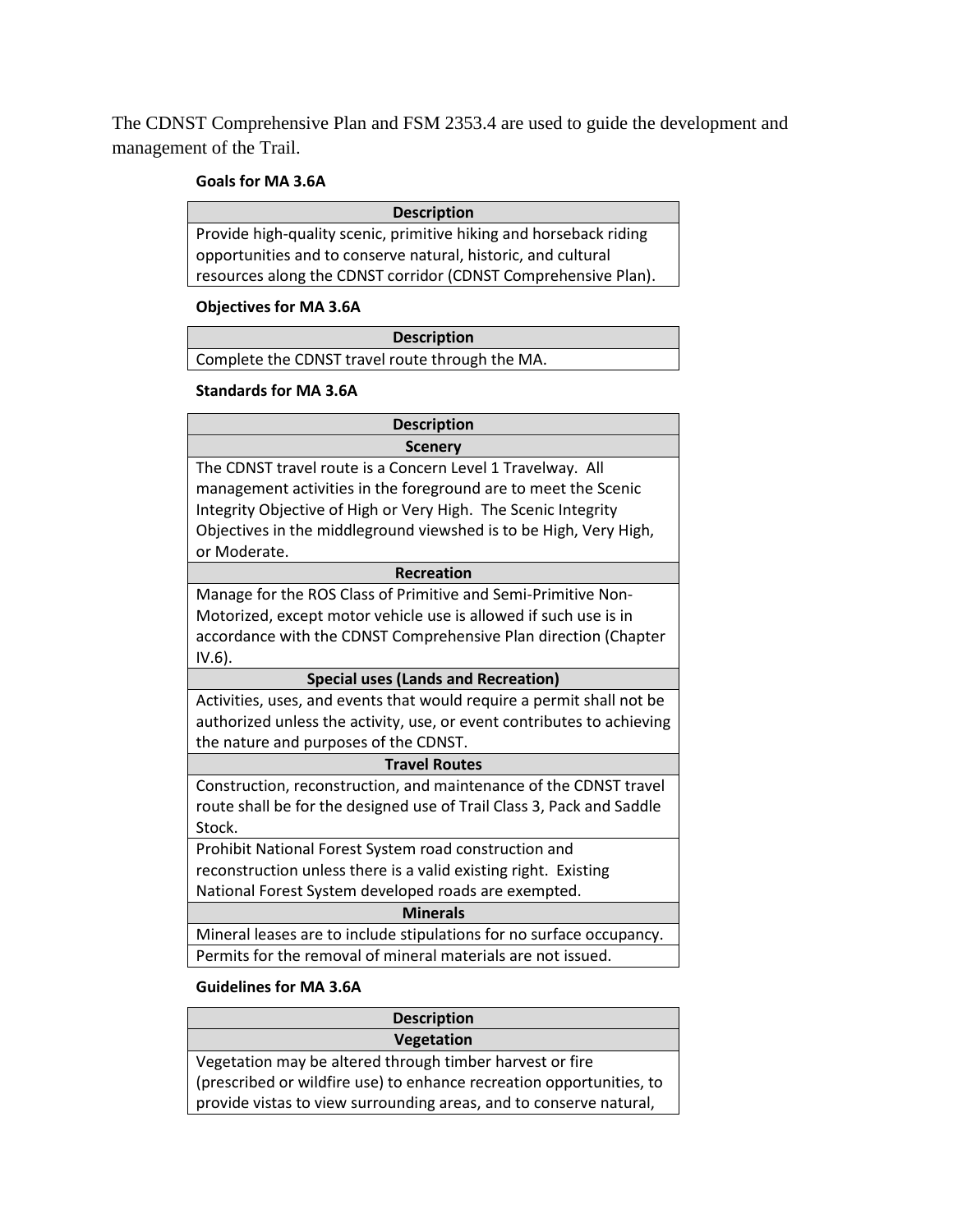The CDNST Comprehensive Plan and FSM 2353.4 are used to guide the development and management of the Trail.

#### **Goals for MA 3.6A**

| <b>Description</b>                                                 |
|--------------------------------------------------------------------|
| Provide high-quality scenic, primitive hiking and horseback riding |
| opportunities and to conserve natural, historic, and cultural      |
| resources along the CDNST corridor (CDNST Comprehensive Plan).     |

## **Objectives for MA 3.6A**

## **Description**

Complete the CDNST travel route through the MA.

#### **Standards for MA 3.6A**

| <b>Description</b>                                                     |  |  |  |
|------------------------------------------------------------------------|--|--|--|
| <b>Scenery</b>                                                         |  |  |  |
| The CDNST travel route is a Concern Level 1 Travelway. All             |  |  |  |
| management activities in the foreground are to meet the Scenic         |  |  |  |
| Integrity Objective of High or Very High. The Scenic Integrity         |  |  |  |
| Objectives in the middleground viewshed is to be High, Very High,      |  |  |  |
| or Moderate.                                                           |  |  |  |
| <b>Recreation</b>                                                      |  |  |  |
| Manage for the ROS Class of Primitive and Semi-Primitive Non-          |  |  |  |
| Motorized, except motor vehicle use is allowed if such use is in       |  |  |  |
| accordance with the CDNST Comprehensive Plan direction (Chapter        |  |  |  |
| $IV.6$ ).                                                              |  |  |  |
| <b>Special uses (Lands and Recreation)</b>                             |  |  |  |
| Activities, uses, and events that would require a permit shall not be  |  |  |  |
| authorized unless the activity, use, or event contributes to achieving |  |  |  |
| the nature and purposes of the CDNST.                                  |  |  |  |
| <b>Travel Routes</b>                                                   |  |  |  |
| Construction, reconstruction, and maintenance of the CDNST travel      |  |  |  |
| route shall be for the designed use of Trail Class 3, Pack and Saddle  |  |  |  |
| Stock.                                                                 |  |  |  |
| Prohibit National Forest System road construction and                  |  |  |  |
| reconstruction unless there is a valid existing right. Existing        |  |  |  |
| National Forest System developed roads are exempted.                   |  |  |  |
| <b>Minerals</b>                                                        |  |  |  |
| Mineral leases are to include stipulations for no surface occupancy.   |  |  |  |
| Permits for the removal of mineral materials are not issued.           |  |  |  |

#### **Guidelines for MA 3.6A**

| <b>Description</b>                                                   |
|----------------------------------------------------------------------|
| <b>Vegetation</b>                                                    |
| Vegetation may be altered through timber harvest or fire             |
| (prescribed or wildfire use) to enhance recreation opportunities, to |
| provide vistas to view surrounding areas, and to conserve natural,   |